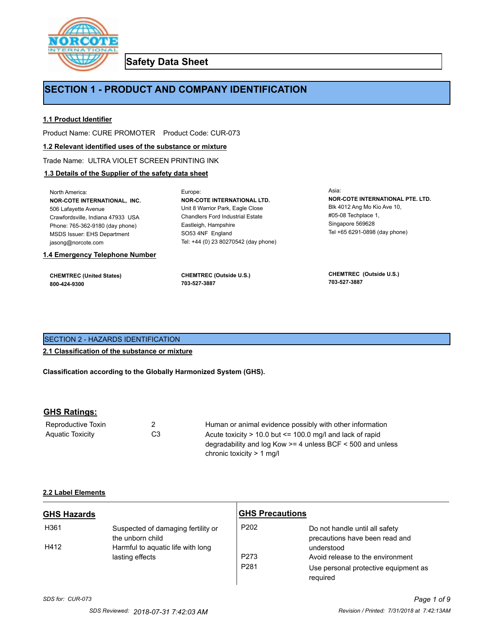

**Safety Data Sheet**

# **SECTION 1 - PRODUCT AND COMPANY IDENTIFICATION**

## **1.1 Product Identifier**

Product Name: CURE PROMOTER Product Code: CUR-073

### **1.2 Relevant identified uses of the substance or mixture**

Trade Name: ULTRA VIOLET SCREEN PRINTING INK

## **1.3 Details of the Supplier of the safety data sheet**

| <b>CHEMTREC (United States)</b><br>800-424-9300 | <b>CHEMTREC (Outside U.S.)</b><br>703-527-3887 | <b>CHEMTREC</b> (Outside U.S.)<br>703-527-3887 |
|-------------------------------------------------|------------------------------------------------|------------------------------------------------|
| 1.4 Emergency Telephone Number                  |                                                |                                                |
| jasong@norcote.com                              | Tel: +44 (0) 23 80270542 (day phone)           |                                                |
| <b>MSDS Issuer: EHS Department</b>              | SO53 4NF England                               | Tel +65 6291-0898 (day phone)                  |
| Phone: 765-362-9180 (day phone)                 | Eastleigh, Hampshire                           | Singapore 569628                               |
| Crawfordsville, Indiana 47933 USA               | <b>Chandlers Ford Industrial Estate</b>        | $\#05-08$ Techplace 1.                         |
| 506 Lafayette Avenue                            | Unit 8 Warrior Park, Eagle Close               | Blk 4012 Ang Mo Kio Ave 10,                    |
| NOR-COTE INTERNATIONAL, INC.                    | <b>NOR-COTE INTERNATIONAL LTD.</b>             | NOR-COTE INTERNATIONAL PTE. LTD.               |
| North America:                                  | Europe:                                        | Asia:                                          |

## SECTION 2 - HAZARDS IDENTIFICATION

**2.1 Classification of the substance or mixture**

**Classification according to the Globally Harmonized System (GHS).**

## **GHS Ratings:**

| Reproductive Toxin |                | Human or animal evidence possibly with other information        |
|--------------------|----------------|-----------------------------------------------------------------|
| Aquatic Toxicity   | C <sub>3</sub> | Acute toxicity $> 10.0$ but $\leq 100.0$ mg/l and lack of rapid |
|                    |                | degradability and log Kow $>=$ 4 unless BCF $<$ 500 and unless  |
|                    |                | chronic toxicity $> 1$ ma/                                      |

#### **2.2 Label Elements**

| <b>GHS Hazards</b> |                                                        | <b>GHS Precautions</b> |                                                                  |
|--------------------|--------------------------------------------------------|------------------------|------------------------------------------------------------------|
| H361               | Suspected of damaging fertility or<br>the unborn child | P <sub>202</sub>       | Do not handle until all safety<br>precautions have been read and |
| H412               | Harmful to aquatic life with long<br>lasting effects   | P <sub>273</sub>       | understood<br>Avoid release to the environment                   |
|                    |                                                        | P <sub>281</sub>       | Use personal protective equipment as<br>required                 |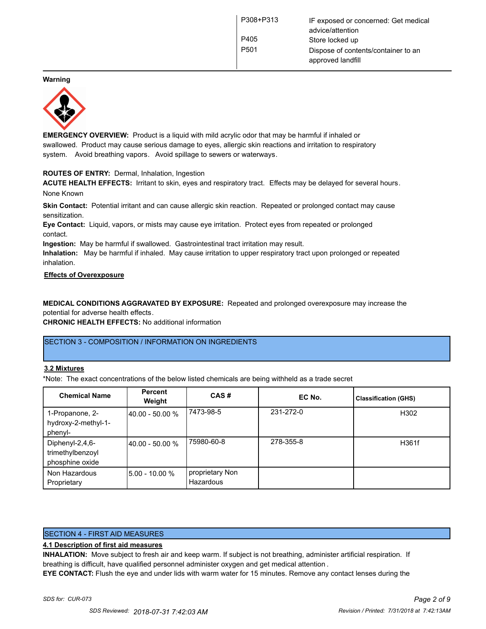**Warning**



**EMERGENCY OVERVIEW:** Product is a liquid with mild acrylic odor that may be harmful if inhaled or swallowed. Product may cause serious damage to eyes, allergic skin reactions and irritation to respiratory system. Avoid breathing vapors. Avoid spillage to sewers or waterways.

#### **ROUTES OF ENTRY:** Dermal, Inhalation, Ingestion

**ACUTE HEALTH EFFECTS:** Irritant to skin, eyes and respiratory tract. Effects may be delayed for several hours. None Known

**Skin Contact:** Potential irritant and can cause allergic skin reaction. Repeated or prolonged contact may cause sensitization.

**Eye Contact:** Liquid, vapors, or mists may cause eye irritation. Protect eyes from repeated or prolonged contact.

**Ingestion:** May be harmful if swallowed. Gastrointestinal tract irritation may result. **Inhalation:** May be harmful if inhaled. May cause irritation to upper respiratory tract upon prolonged or repeated

inhalation.

#### **Effects of Overexposure**

**MEDICAL CONDITIONS AGGRAVATED BY EXPOSURE:** Repeated and prolonged overexposure may increase the potential for adverse health effects.

**CHRONIC HEALTH EFFECTS:** No additional information

#### SECTION 3 - COMPOSITION / INFORMATION ON INGREDIENTS

#### **3.2 Mixtures**

\*Note: The exact concentrations of the below listed chemicals are being withheld as a trade secret

| <b>Chemical Name</b>                                   | <b>Percent</b><br>Weight | CAS#                         | EC No.    | <b>Classification (GHS)</b> |
|--------------------------------------------------------|--------------------------|------------------------------|-----------|-----------------------------|
| 1-Propanone, 2-<br>hydroxy-2-methyl-1-<br>phenyl-      | 40.00 - 50.00 %          | 7473-98-5                    | 231-272-0 | H302                        |
| Diphenyl-2,4,6-<br>trimethylbenzoyl<br>phosphine oxide | 140.00 - 50.00 %         | 75980-60-8                   | 278-355-8 | H361f                       |
| Non Hazardous<br>Proprietary                           | 5.00 - 10.00 %           | proprietary Non<br>Hazardous |           |                             |

#### SECTION 4 - FIRST AID MEASURES

#### **4.1 Description of first aid measures**

**INHALATION:** Move subject to fresh air and keep warm. If subject is not breathing, administer artificial respiration. If breathing is difficult, have qualified personnel administer oxygen and get medical attention .

**EYE CONTACT:** Flush the eye and under lids with warm water for 15 minutes. Remove any contact lenses during the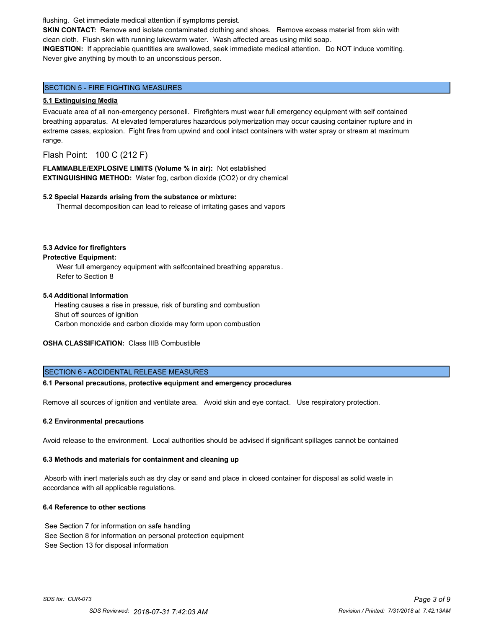flushing. Get immediate medical attention if symptoms persist.

**SKIN CONTACT:** Remove and isolate contaminated clothing and shoes. Remove excess material from skin with clean cloth. Flush skin with running lukewarm water. Wash affected areas using mild soap.

**INGESTION:** If appreciable quantities are swallowed, seek immediate medical attention. Do NOT induce vomiting. Never give anything by mouth to an unconscious person.

## SECTION 5 - FIRE FIGHTING MEASURES

#### **5.1 Extinguising Media**

Evacuate area of all non-emergency personell. Firefighters must wear full emergency equipment with self contained breathing apparatus. At elevated temperatures hazardous polymerization may occur causing container rupture and in extreme cases, explosion. Fight fires from upwind and cool intact containers with water spray or stream at maximum range.

Flash Point: 100 C (212 F)

**FLAMMABLE/EXPLOSIVE LIMITS (Volume % in air):** Not established **EXTINGUISHING METHOD:** Water fog, carbon dioxide (CO2) or dry chemical

#### **5.2 Special Hazards arising from the substance or mixture:**

Thermal decomposition can lead to release of irritating gases and vapors

#### **5.3 Advice for firefighters**

#### **Protective Equipment:**

Wear full emergency equipment with selfcontained breathing apparatus . Refer to Section 8

#### **5.4 Additional Information**

 Heating causes a rise in pressue, risk of bursting and combustion Shut off sources of ignition Carbon monoxide and carbon dioxide may form upon combustion

## **OSHA CLASSIFICATION:** Class IIIB Combustible

#### SECTION 6 - ACCIDENTAL RELEASE MEASURES

#### **6.1 Personal precautions, protective equipment and emergency procedures**

Remove all sources of ignition and ventilate area. Avoid skin and eye contact. Use respiratory protection.

#### **6.2 Environmental precautions**

Avoid release to the environment. Local authorities should be advised if significant spillages cannot be contained

#### **6.3 Methods and materials for containment and cleaning up**

 Absorb with inert materials such as dry clay or sand and place in closed container for disposal as solid waste in accordance with all applicable regulations.

#### **6.4 Reference to other sections**

See Section 7 for information on safe handling See Section 8 for information on personal protection equipment See Section 13 for disposal information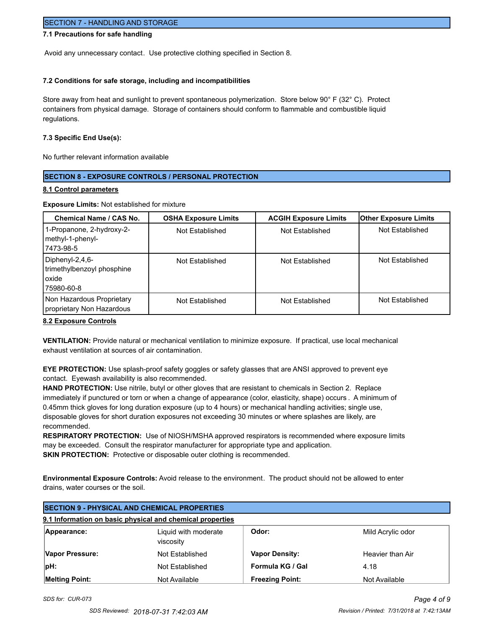## SECTION 7 - HANDLING AND STORAGE

## **7.1 Precautions for safe handling**

Avoid any unnecessary contact. Use protective clothing specified in Section 8.

#### **7.2 Conditions for safe storage, including and incompatibilities**

Store away from heat and sunlight to prevent spontaneous polymerization. Store below 90° F (32° C). Protect containers from physical damage. Storage of containers should conform to flammable and combustible liquid regulations.

#### **7.3 Specific End Use(s):**

No further relevant information available

#### **SECTION 8 - EXPOSURE CONTROLS / PERSONAL PROTECTION**

#### **8.1 Control parameters**

**Exposure Limits:** Not established for mixture

| <b>Chemical Name / CAS No.</b>                                                | <b>OSHA Exposure Limits</b> | <b>ACGIH Exposure Limits</b> | <b>Other Exposure Limits</b> |
|-------------------------------------------------------------------------------|-----------------------------|------------------------------|------------------------------|
| 1-Propanone, 2-hydroxy-2-<br>methyl-1-phenyl-<br> 7473-98-5                   | Not Established             | Not Established              | Not Established              |
| Diphenyl-2,4,6-<br>trimethylbenzoyl phosphine<br><b>l</b> oxide<br>75980-60-8 | Not Established             | Not Established              | Not Established              |
| Non Hazardous Proprietary<br>proprietary Non Hazardous                        | Not Established             | Not Established              | Not Established              |

#### **8.2 Exposure Controls**

**VENTILATION:** Provide natural or mechanical ventilation to minimize exposure. If practical, use local mechanical exhaust ventilation at sources of air contamination.

**EYE PROTECTION:** Use splash-proof safety goggles or safety glasses that are ANSI approved to prevent eye contact. Eyewash availability is also recommended.

**HAND PROTECTION:** Use nitrile, butyl or other gloves that are resistant to chemicals in Section 2. Replace immediately if punctured or torn or when a change of appearance (color, elasticity, shape) occurs . A minimum of 0.45mm thick gloves for long duration exposure (up to 4 hours) or mechanical handling activities; single use, disposable gloves for short duration exposures not exceeding 30 minutes or where splashes are likely, are recommended.

**RESPIRATORY PROTECTION:** Use of NIOSH/MSHA approved respirators is recommended where exposure limits may be exceeded. Consult the respirator manufacturer for appropriate type and application. **SKIN PROTECTION:** Protective or disposable outer clothing is recommended.

**Environmental Exposure Controls:** Avoid release to the environment. The product should not be allowed to enter drains, water courses or the soil.

| <b>ISECTION 9 - PHYSICAL AND CHEMICAL PROPERTIES</b>      |                                   |                        |                   |
|-----------------------------------------------------------|-----------------------------------|------------------------|-------------------|
| 9.1 Information on basic physical and chemical properties |                                   |                        |                   |
| Appearance:                                               | Liquid with moderate<br>viscosity | Odor:                  | Mild Acrylic odor |
| Vapor Pressure:                                           | Not Established                   | <b>Vapor Density:</b>  | Heavier than Air  |
| $ pH$ :                                                   | Not Established                   | Formula KG / Gal       | 4.18              |
| <b>Melting Point:</b>                                     | Not Available                     | <b>Freezing Point:</b> | Not Available     |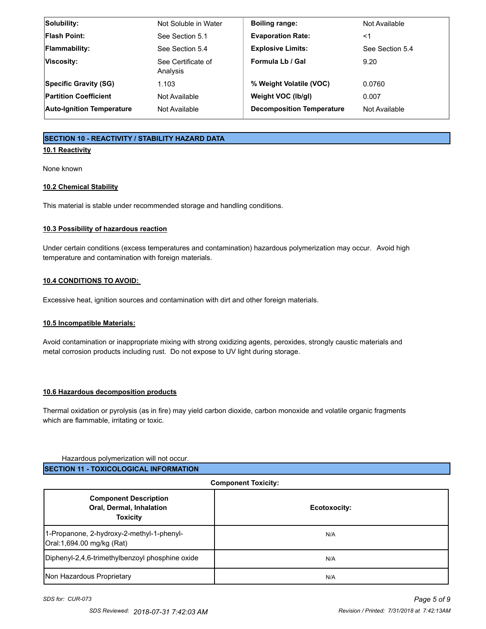| Solubility:                      | Not Soluble in Water           | <b>Boiling range:</b>            | Not Available   |
|----------------------------------|--------------------------------|----------------------------------|-----------------|
| <b>Flash Point:</b>              | See Section 5.1                | <b>Evaporation Rate:</b>         | $<$ 1           |
| <b>Flammability:</b>             | See Section 5.4                | <b>Explosive Limits:</b>         | See Section 5.4 |
| Viscosity:                       | See Certificate of<br>Analysis | Formula Lb / Gal                 | 9.20            |
| <b>Specific Gravity (SG)</b>     | 1.103                          | % Weight Volatile (VOC)          | 0.0760          |
| <b>Partition Coefficient</b>     | Not Available                  | Weight VOC (lb/gl)               | 0.007           |
| <b>Auto-Ignition Temperature</b> | Not Available                  | <b>Decomposition Temperature</b> | Not Available   |

## **SECTION 10 - REACTIVITY / STABILITY HAZARD DATA**

## **10.1 Reactivity**

None known

## **10.2 Chemical Stability**

This material is stable under recommended storage and handling conditions.

#### **10.3 Possibility of hazardous reaction**

Under certain conditions (excess temperatures and contamination) hazardous polymerization may occur. Avoid high temperature and contamination with foreign materials.

## **10.4 CONDITIONS TO AVOID:**

Excessive heat, ignition sources and contamination with dirt and other foreign materials.

## **10.5 Incompatible Materials:**

Avoid contamination or inappropriate mixing with strong oxidizing agents, peroxides, strongly caustic materials and metal corrosion products including rust. Do not expose to UV light during storage.

## **10.6 Hazardous decomposition products**

Thermal oxidation or pyrolysis (as in fire) may yield carbon dioxide, carbon monoxide and volatile organic fragments which are flammable, irritating or toxic.

## Hazardous polymerization will not occur. **SECTION 11 - TOXICOLOGICAL INFORMATION**

#### **Component Toxicity:**

| <b>Component Description</b><br>Oral, Dermal, Inhalation<br><b>Toxicity</b> | Ecotoxocity: |
|-----------------------------------------------------------------------------|--------------|
| 1-Propanone, 2-hydroxy-2-methyl-1-phenyl-<br>Oral:1,694.00 mg/kg (Rat)      | N/A          |
| Diphenyl-2,4,6-trimethylbenzoyl phosphine oxide                             | N/A          |
| Non Hazardous Proprietary                                                   | N/A          |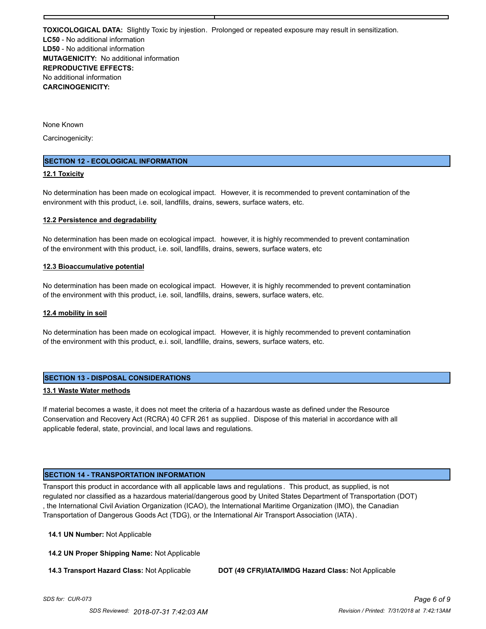**TOXICOLOGICAL DATA:** Slightly Toxic by injestion. Prolonged or repeated exposure may result in sensitization. **LC50** - No additional information **LD50** - No additional information **MUTAGENICITY:** No additional information **REPRODUCTIVE EFFECTS:** No additional information **CARCINOGENICITY:**

None Known

Carcinogenicity:

#### **SECTION 12 - ECOLOGICAL INFORMATION**

#### **12.1 Toxicity**

No determination has been made on ecological impact. However, it is recommended to prevent contamination of the environment with this product, i.e. soil, landfills, drains, sewers, surface waters, etc.

#### **12.2 Persistence and degradability**

No determination has been made on ecological impact. however, it is highly recommended to prevent contamination of the environment with this product, i.e. soil, landfills, drains, sewers, surface waters, etc

#### **12.3 Bioaccumulative potential**

No determination has been made on ecological impact. However, it is highly recommended to prevent contamination of the environment with this product, i.e. soil, landfills, drains, sewers, surface waters, etc.

#### **12.4 mobility in soil**

No determination has been made on ecological impact. However, it is highly recommended to prevent contamination of the environment with this product, e.i. soil, landfille, drains, sewers, surface waters, etc.

#### **SECTION 13 - DISPOSAL CONSIDERATIONS**

#### **13.1 Waste Water methods**

If material becomes a waste, it does not meet the criteria of a hazardous waste as defined under the Resource Conservation and Recovery Act (RCRA) 40 CFR 261 as supplied. Dispose of this material in accordance with all applicable federal, state, provincial, and local laws and regulations.

#### **SECTION 14 - TRANSPORTATION INFORMATION**

Transport this product in accordance with all applicable laws and regulations . This product, as supplied, is not regulated nor classified as a hazardous material/dangerous good by United States Department of Transportation (DOT) , the International Civil Aviation Organization (ICAO), the International Maritime Organization (IMO), the Canadian Transportation of Dangerous Goods Act (TDG), or the International Air Transport Association (IATA).

**14.1 UN Number:** Not Applicable

**14.2 UN Proper Shipping Name:** Not Applicable

**14.3 Transport Hazard Class:** Not Applicable **DOT (49 CFR)/IATA/IMDG Hazard Class:** Not Applicable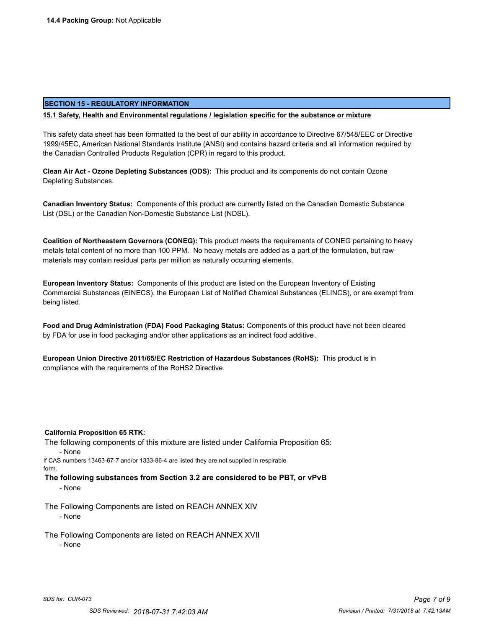#### **SECTION 15 - REGULATORY INFORMATION**

#### **15.1 Safety, Health and Environmental regulations / legislation specific for the substance or mixture**

This safety data sheet has been formatted to the best of our ability in accordance to Directive 67/548/EEC or Directive 1999/45EC, American National Standards Institute (ANSI) and contains hazard criteria and all information required by the Canadian Controlled Products Regulation (CPR) in regard to this product.

**Clean Air Act - Ozone Depleting Substances (ODS):** This product and its components do not contain Ozone Depleting Substances.

**Canadian Inventory Status:** Components of this product are currently listed on the Canadian Domestic Substance List (DSL) or the Canadian Non-Domestic Substance List (NDSL).

**Coalition of Northeastern Governors (CONEG):** This product meets the requirements of CONEG pertaining to heavy metals total content of no more than 100 PPM. No heavy metals are added as a part of the formulation, but raw materials may contain residual parts per million as naturally occurring elements.

**European Inventory Status:** Components of this product are listed on the European Inventory of Existing Commercial Substances (EINECS), the European List of Notified Chemical Substances (ELINCS), or are exempt from being listed.

**Food and Drug Administration (FDA) Food Packaging Status:** Components of this product have not been cleared by FDA for use in food packaging and/or other applications as an indirect food additive .

**European Union Directive 2011/65/EC Restriction of Hazardous Substances (RoHS):** This product is in compliance with the requirements of the RoHS2 Directive.

#### **California Proposition 65 RTK:**

The following components of this mixture are listed under California Proposition 65:

- None

If CAS numbers 13463-67-7 and/or 1333-86-4 are listed they are not supplied in respirable form.

**The following substances from Section 3.2 are considered to be PBT, or vPvB**

- None

The Following Components are listed on REACH ANNEX XIV - None

The Following Components are listed on REACH ANNEX XVII

- None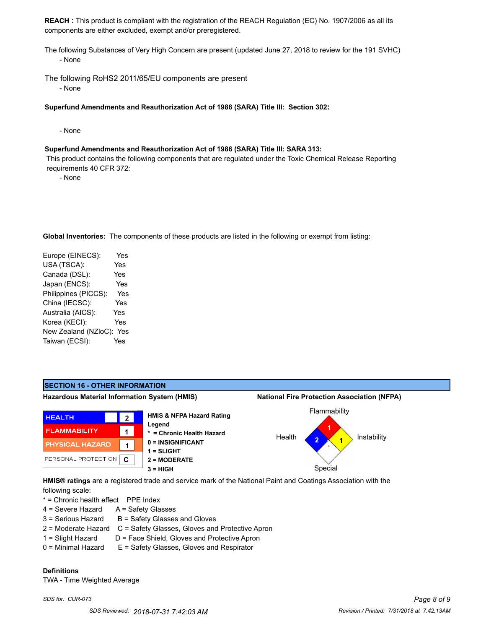**REACH** : This product is compliant with the registration of the REACH Regulation (EC) No. 1907/2006 as all its components are either excluded, exempt and/or preregistered.

The following Substances of Very High Concern are present (updated June 27, 2018 to review for the 191 SVHC) - None

The following RoHS2 2011/65/EU components are present

- None

**Superfund Amendments and Reauthorization Act of 1986 (SARA) Title III: Section 302:**

- None

#### **Superfund Amendments and Reauthorization Act of 1986 (SARA) Title III: SARA 313:**

 This product contains the following components that are regulated under the Toxic Chemical Release Reporting requirements 40 CFR 372:

- None

**Global Inventories:** The components of these products are listed in the following or exempt from listing:

| Europe (EINECS):     | Yes |
|----------------------|-----|
| USA (TSCA):          | Yes |
| Canada (DSL):        | Yes |
| Japan (ENCS):        | Yes |
| Philippines (PICCS): | Yes |
| China (IECSC):       | Yes |
| Australia (AICS):    | Yes |
| Korea (KECI):        | Yes |
| New Zealand (NZloC): | Yes |
| Taiwan (ECSI):       | Yes |
|                      |     |

#### **SECTION 16 - OTHER INFORMATION Hazardous Material Information System (HMIS) National Fire Protection Association (NFPA)** Flammability **HMIS & NFPA Hazard Rating HEALTH 2 Legend 1 FLAMMABILITY 1 \* = Chronic Health Hazard** Health Instability **2 1 0 = INSIGNIFICANT** PHYSICAL HAZARD **1 1 = SLIGHT** PERSONAL PROTECTION **C 2 = MODERATE 3 = HIGH** Special

**HMIS® ratings** are a registered trade and service mark of the National Paint and Coatings Association with the following scale:

\* = Chronic health effect PPE Index

- 4 = Severe Hazard A = Safety Glasses
- $3 =$  Serious Hazard  $B =$  Safety Glasses and Gloves
- 2 = Moderate Hazard C = Safety Glasses, Gloves and Protective Apron
- 1 = Slight Hazard D = Face Shield, Gloves and Protective Apron
- 0 = Minimal Hazard E = Safety Glasses, Gloves and Respirator

### **Definitions**

TWA - Time Weighted Average